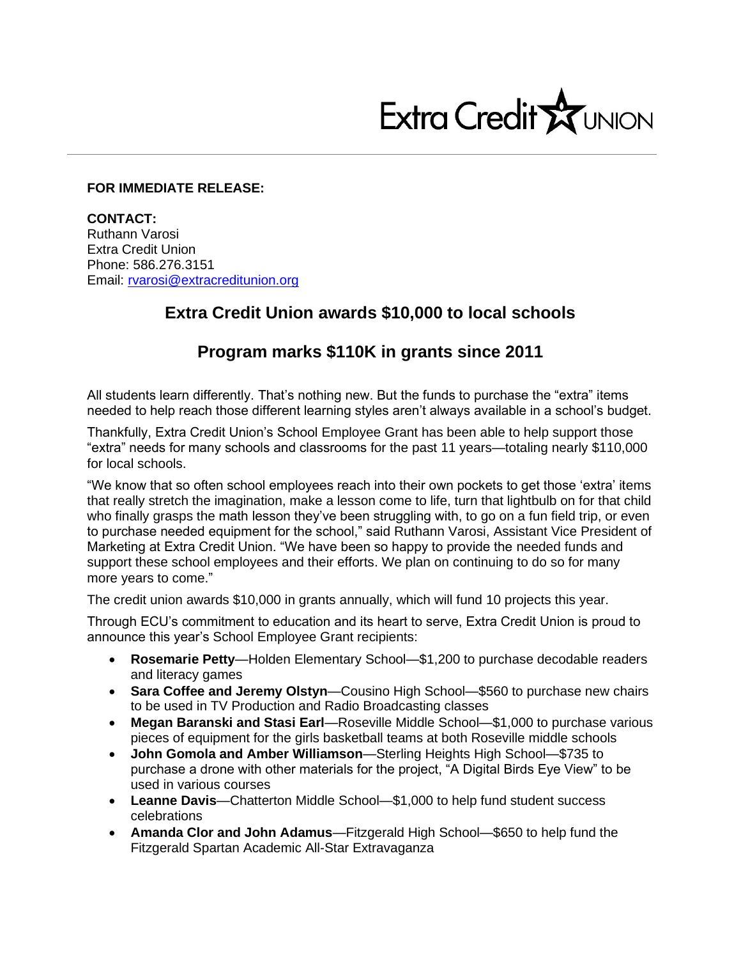

## **FOR IMMEDIATE RELEASE:**

**CONTACT:** Ruthann Varosi Extra Credit Union Phone: 586.276.3151 Email: [rvarosi@extracreditunion.org](mailto:rvarosi@extracreditunion.org)

## **Extra Credit Union awards \$10,000 to local schools**

## **Program marks \$110K in grants since 2011**

All students learn differently. That's nothing new. But the funds to purchase the "extra" items needed to help reach those different learning styles aren't always available in a school's budget.

Thankfully, Extra Credit Union's School Employee Grant has been able to help support those "extra" needs for many schools and classrooms for the past 11 years—totaling nearly \$110,000 for local schools.

"We know that so often school employees reach into their own pockets to get those 'extra' items that really stretch the imagination, make a lesson come to life, turn that lightbulb on for that child who finally grasps the math lesson they've been struggling with, to go on a fun field trip, or even to purchase needed equipment for the school," said Ruthann Varosi, Assistant Vice President of Marketing at Extra Credit Union. "We have been so happy to provide the needed funds and support these school employees and their efforts. We plan on continuing to do so for many more years to come."

The credit union awards \$10,000 in grants annually, which will fund 10 projects this year.

Through ECU's commitment to education and its heart to serve, Extra Credit Union is proud to announce this year's School Employee Grant recipients:

- **Rosemarie Petty**—Holden Elementary School—\$1,200 to purchase decodable readers and literacy games
- **Sara Coffee and Jeremy Olstyn**—Cousino High School—\$560 to purchase new chairs to be used in TV Production and Radio Broadcasting classes
- **Megan Baranski and Stasi Earl**—Roseville Middle School—\$1,000 to purchase various pieces of equipment for the girls basketball teams at both Roseville middle schools
- **John Gomola and Amber Williamson**—Sterling Heights High School—\$735 to purchase a drone with other materials for the project, "A Digital Birds Eye View" to be used in various courses
- **Leanne Davis**—Chatterton Middle School—\$1,000 to help fund student success celebrations
- **Amanda Clor and John Adamus**—Fitzgerald High School—\$650 to help fund the Fitzgerald Spartan Academic All-Star Extravaganza